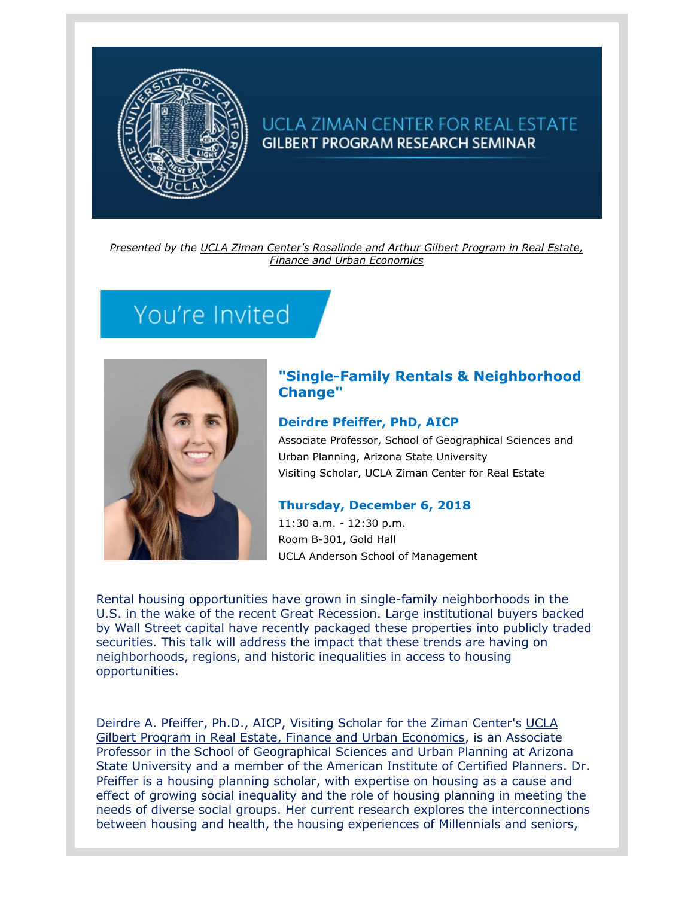

# UCLA ZIMAN CENTER FOR REAL ESTATE **GILBERT PROGRAM RESEARCH SEMINAR**

*Presented by the [UCLA Ziman Center's Rosalinde and Arthur Gilbert Program in Real Estate,](https://t.e2ma.net/click/akbgob/iqpt3h/acxnar)  [Finance and Urban Economics](https://t.e2ma.net/click/akbgob/iqpt3h/acxnar)*

# You're Invited



## **"Single-Family Rentals & Neighborhood Change"**

### **Deirdre Pfeiffer, PhD, AICP**

Associate Professor, School of Geographical Sciences and Urban Planning, Arizona State University Visiting Scholar, UCLA Ziman Center for Real Estate

### **Thursday, December 6, 2018**

11:30 a.m. - 12:30 p.m. Room B-301, Gold Hall UCLA Anderson School of Management

Rental housing opportunities have grown in single-family neighborhoods in the U.S. in the wake of the recent Great Recession. Large institutional buyers backed by Wall Street capital have recently packaged these properties into publicly traded securities. This talk will address the impact that these trends are having on neighborhoods, regions, and historic inequalities in access to housing opportunities.

Deirdre A. Pfeiffer, Ph.D., AICP, Visiting Scholar for the Ziman Center's UCLA [Gilbert Program in Real Estate, Finance and Urban Economics,](https://t.e2ma.net/click/akbgob/iqpt3h/6wynar) is an Associate Professor in the School of Geographical Sciences and Urban Planning at Arizona State University and a member of the American Institute of Certified Planners. Dr. Pfeiffer is a housing planning scholar, with expertise on housing as a cause and effect of growing social inequality and the role of housing planning in meeting the needs of diverse social groups. Her current research explores the interconnections between housing and health, the housing experiences of Millennials and seniors,